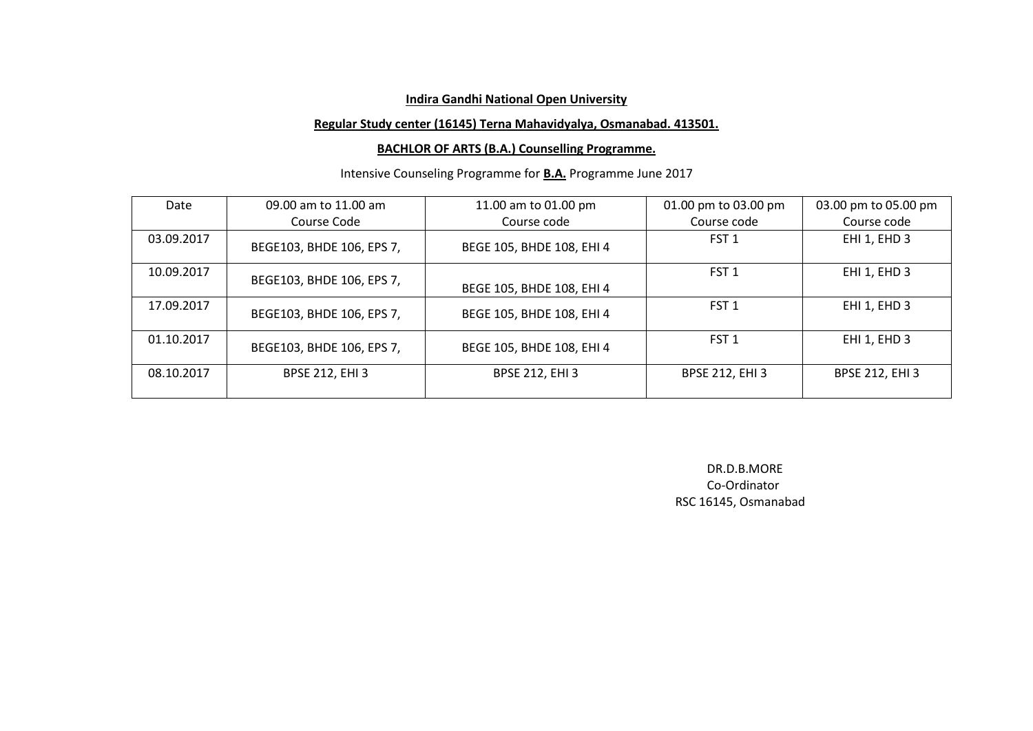#### **Regular Study center (16145) Terna Mahavidyalya, Osmanabad. 413501.**

#### **BACHLOR OF ARTS (B.A.) Counselling Programme.**

# Intensive Counseling Programme for **B.A.** Programme June 2017

| Date       | 09.00 am to 11.00 am      | 11.00 am to 01.00 pm      | 01.00 pm to 03.00 pm   | 03.00 pm to 05.00 pm   |
|------------|---------------------------|---------------------------|------------------------|------------------------|
|            | Course Code               | Course code               | Course code            | Course code            |
| 03.09.2017 | BEGE103, BHDE 106, EPS 7, | BEGE 105, BHDE 108, EHI 4 | FST <sub>1</sub>       | EHI 1, EHD 3           |
| 10.09.2017 | BEGE103, BHDE 106, EPS 7, | BEGE 105, BHDE 108, EHI 4 | FST <sub>1</sub>       | EHI 1, EHD 3           |
| 17.09.2017 | BEGE103, BHDE 106, EPS 7, | BEGE 105, BHDE 108, EHI 4 | FST <sub>1</sub>       | EHI 1, EHD 3           |
| 01.10.2017 | BEGE103, BHDE 106, EPS 7, | BEGE 105, BHDE 108, EHI 4 | FST <sub>1</sub>       | EHI 1, EHD 3           |
| 08.10.2017 | <b>BPSE 212, EHI 3</b>    | <b>BPSE 212, EHI 3</b>    | <b>BPSE 212, EHI 3</b> | <b>BPSE 212, EHI 3</b> |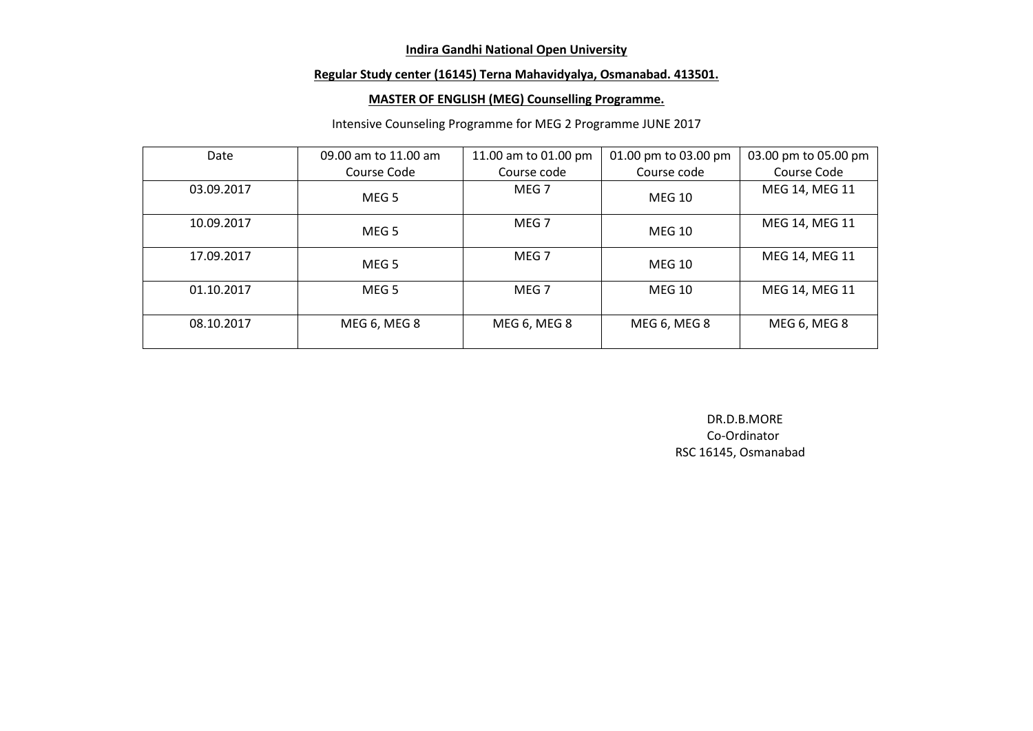## **Regular Study center (16145) Terna Mahavidyalya, Osmanabad. 413501.**

#### **MASTER OF ENGLISH (MEG) Counselling Programme.**

#### Intensive Counseling Programme for MEG 2 Programme JUNE 2017

| Date       | 09.00 am to 11.00 am | 11.00 am to 01.00 pm | 01.00 pm to 03.00 pm | 03.00 pm to 05.00 pm |
|------------|----------------------|----------------------|----------------------|----------------------|
|            | Course Code          | Course code          | Course code          | Course Code          |
| 03.09.2017 | MEG 5                | MEG <sub>7</sub>     | <b>MEG 10</b>        | MEG 14, MEG 11       |
| 10.09.2017 | MEG 5                | MEG 7                | <b>MEG 10</b>        | MEG 14, MEG 11       |
| 17.09.2017 | MEG <sub>5</sub>     | MEG 7                | <b>MEG 10</b>        | MEG 14, MEG 11       |
| 01.10.2017 | MEG <sub>5</sub>     | MEG <sub>7</sub>     | <b>MEG 10</b>        | MEG 14, MEG 11       |
| 08.10.2017 | MEG 6, MEG 8         | MEG 6, MEG 8         | MEG 6, MEG 8         | MEG 6, MEG 8         |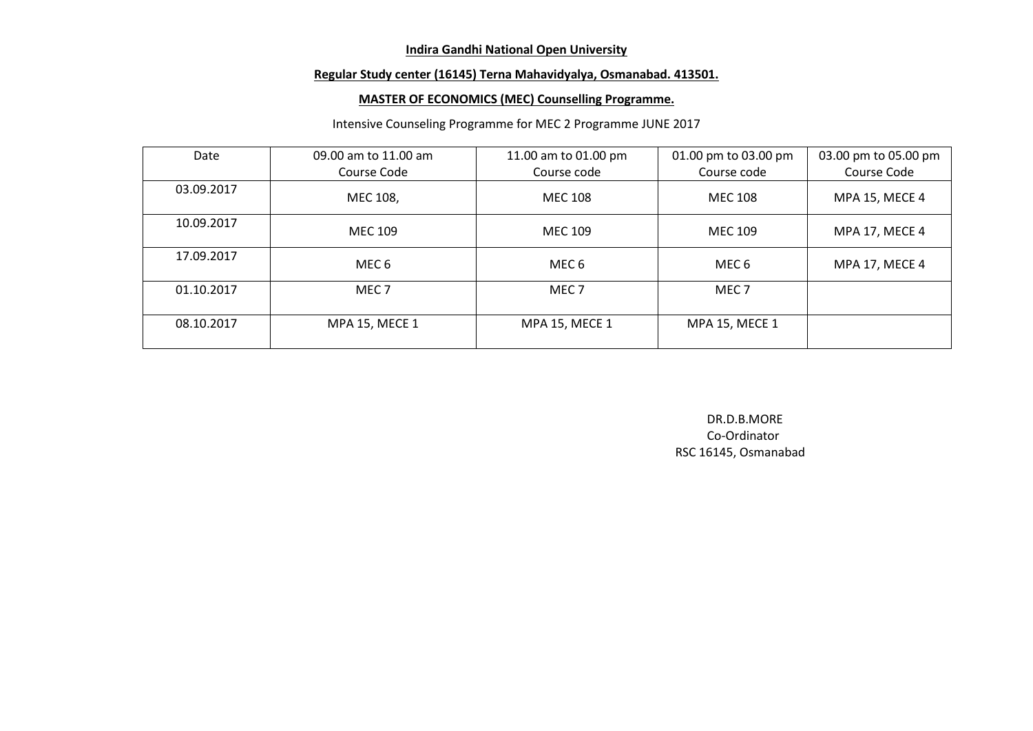## **Regular Study center (16145) Terna Mahavidyalya, Osmanabad. 413501.**

## **MASTER OF ECONOMICS (MEC) Counselling Programme.**

## Intensive Counseling Programme for MEC 2 Programme JUNE 2017

| Date       | 09.00 am to 11.00 am  | 11.00 am to 01.00 pm  | 01.00 pm to 03.00 pm  | 03.00 pm to 05.00 pm  |
|------------|-----------------------|-----------------------|-----------------------|-----------------------|
|            | Course Code           | Course code           | Course code           | Course Code           |
| 03.09.2017 | MEC 108,              | <b>MEC 108</b>        | <b>MEC 108</b>        | <b>MPA 15, MECE 4</b> |
| 10.09.2017 | <b>MEC 109</b>        | <b>MEC 109</b>        | <b>MEC 109</b>        | MPA 17, MECE 4        |
| 17.09.2017 | MEC 6                 | MEC 6                 | MEC 6                 | MPA 17, MECE 4        |
| 01.10.2017 | MEC <sub>7</sub>      | MEC <sub>7</sub>      | MEC <sub>7</sub>      |                       |
| 08.10.2017 | <b>MPA 15, MECE 1</b> | <b>MPA 15, MECE 1</b> | <b>MPA 15, MECE 1</b> |                       |